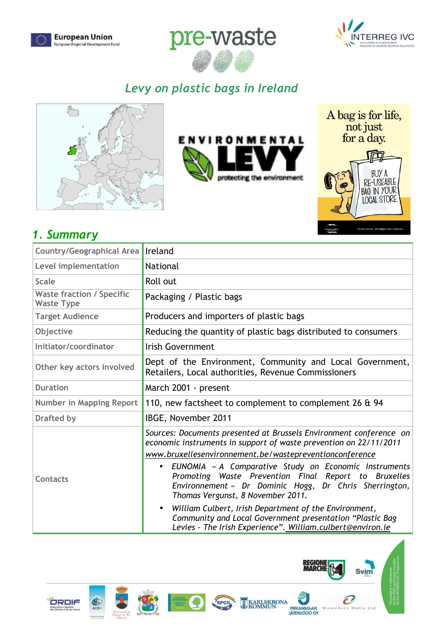





# *Levy on plastic bags in Ireland*





A bag is for life, not just<br>for a day.



## *1. Summary*

| <b>Country/Geographical Area</b>                      | Ireland                                                                                                                                                                                                                                                                                                                                                                                                                                                                                                                                                                                               |  |  |
|-------------------------------------------------------|-------------------------------------------------------------------------------------------------------------------------------------------------------------------------------------------------------------------------------------------------------------------------------------------------------------------------------------------------------------------------------------------------------------------------------------------------------------------------------------------------------------------------------------------------------------------------------------------------------|--|--|
| Level implementation                                  | <b>National</b>                                                                                                                                                                                                                                                                                                                                                                                                                                                                                                                                                                                       |  |  |
| <b>Scale</b>                                          | Roll out                                                                                                                                                                                                                                                                                                                                                                                                                                                                                                                                                                                              |  |  |
| <b>Waste fraction / Specific</b><br><b>Waste Type</b> | Packaging / Plastic bags                                                                                                                                                                                                                                                                                                                                                                                                                                                                                                                                                                              |  |  |
| <b>Target Audience</b>                                | Producers and importers of plastic bags                                                                                                                                                                                                                                                                                                                                                                                                                                                                                                                                                               |  |  |
| Objective                                             | Reducing the quantity of plastic bags distributed to consumers                                                                                                                                                                                                                                                                                                                                                                                                                                                                                                                                        |  |  |
| Initiator/coordinator                                 | <b>Irish Government</b>                                                                                                                                                                                                                                                                                                                                                                                                                                                                                                                                                                               |  |  |
| Other key actors involved                             | Dept of the Environment, Community and Local Government,<br>Retailers, Local authorities, Revenue Commissioners                                                                                                                                                                                                                                                                                                                                                                                                                                                                                       |  |  |
| <b>Duration</b>                                       | March 2001 - present                                                                                                                                                                                                                                                                                                                                                                                                                                                                                                                                                                                  |  |  |
| <b>Number in Mapping Report</b>                       | 110, new factsheet to complement to complement 26 & 94                                                                                                                                                                                                                                                                                                                                                                                                                                                                                                                                                |  |  |
| <b>Drafted by</b>                                     | IBGE, November 2011                                                                                                                                                                                                                                                                                                                                                                                                                                                                                                                                                                                   |  |  |
| Contacts                                              | Sources: Documents presented at Brussels Environment conference on<br>economic instruments in support of waste prevention on 22/11/2011<br>www.bruxellesenvironnement.be/wastepreventionconference<br>EUNOMIA « A Comparative Study on Economic Instruments<br>Promoting Waste Prevention Final Report to Bruxelles<br>Environnement » Dr Dominic Hogg, Dr Chris Sherrington,<br>Thomas Vergunst, 8 November 2011.<br>William Culbert, Irish Department of the Environment,<br>Community and Local Government presentation "Plastic Bag<br>Levies - The Irish Experience". William.culbert@environ.ie |  |  |







SPCII



**REGIONE<br>MARCHE** 

 $\mathbf{w}$ 

Svím

Malta Ltd

 $\boldsymbol{\mathcal{C}}$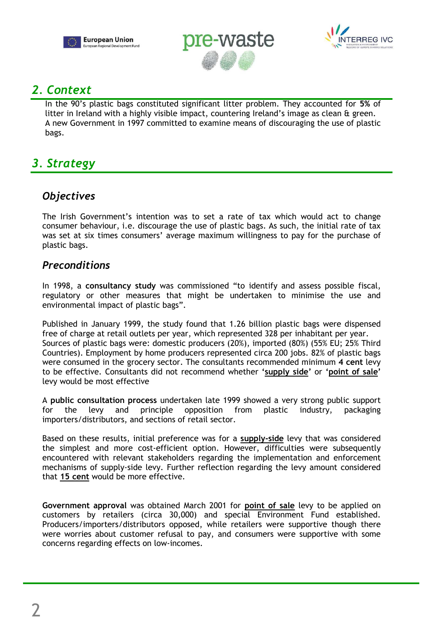





## *2. Context*

In the 90's plastic bags constituted significant litter problem. They accounted for **5%** of litter in Ireland with a highly visible impact, countering Ireland's image as clean & green. A new Government in 1997 committed to examine means of discouraging the use of plastic bags.

## *3. Strategy*

## *Objectives*

The Irish Government's intention was to set a rate of tax which would act to change consumer behaviour, i.e. discourage the use of plastic bags. As such, the initial rate of tax was set at six times consumers' average maximum willingness to pay for the purchase of plastic bags.

## *Preconditions*

In 1998, a **consultancy study** was commissioned "to identify and assess possible fiscal, regulatory or other measures that might be undertaken to minimise the use and environmental impact of plastic bags".

Published in January 1999, the study found that 1.26 billion plastic bags were dispensed free of charge at retail outlets per year, which represented 328 per inhabitant per year. Sources of plastic bags were: domestic producers (20%), imported (80%) (55% EU; 25% Third Countries). Employment by home producers represented circa 200 jobs. 82% of plastic bags were consumed in the grocery sector. The consultants recommended minimum **4 cent** levy to be effective. Consultants did not recommend whether **'supply side'** or **'point of sale'** levy would be most effective

A **public consultation process** undertaken late 1999 showed a very strong public support for the levy and principle opposition from plastic industry, packaging importers/distributors, and sections of retail sector.

Based on these results, initial preference was for a **supply-side** levy that was considered the simplest and more cost-efficient option. However, difficulties were subsequently encountered with relevant stakeholders regarding the implementation and enforcement mechanisms of supply-side levy. Further reflection regarding the levy amount considered that **15 cent** would be more effective.

**Government approval** was obtained March 2001 for **point of sale** levy to be applied on customers by retailers (circa 30,000) and special Environment Fund established. Producers/importers/distributors opposed, while retailers were supportive though there were worries about customer refusal to pay, and consumers were supportive with some concerns regarding effects on low-incomes.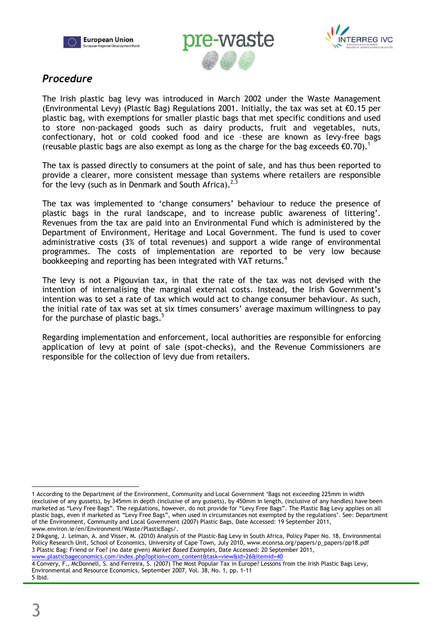





## *Procedure*

The Irish plastic bag levy was introduced in March 2002 under the Waste Management (Environmental Levy) (Plastic Bag) Regulations 2001. Initially, the tax was set at  $\epsilon$ 0.15 per plastic bag, with exemptions for smaller plastic bags that met specific conditions and used to store non-packaged goods such as dairy products, fruit and vegetables, nuts, confectionary, hot or cold cooked food and ice –these are known as levy-free bags (reusable plastic bags are also exempt as long as the charge for the bag exceeds  $\epsilon 0.70$ ).<sup>1</sup>

The tax is passed directly to consumers at the point of sale, and has thus been reported to provide a clearer, more consistent message than systems where retailers are responsible for the levy (such as in Denmark and South Africa).<sup>2,5</sup>

The tax was implemented to 'change consumers' behaviour to reduce the presence of plastic bags in the rural landscape, and to increase public awareness of littering'. Revenues from the tax are paid into an Environmental Fund which is administered by the Department of Environment, Heritage and Local Government. The fund is used to cover administrative costs (3% of total revenues) and support a wide range of environmental programmes. The costs of implementation are reported to be very low because bookkeeping and reporting has been integrated with VAT returns.<sup>4</sup>

The levy is not a Pigouvian tax, in that the rate of the tax was not devised with the intention of internalising the marginal external costs. Instead, the Irish Government's intention was to set a rate of tax which would act to change consumer behaviour. As such, the initial rate of tax was set at six times consumers' average maximum willingness to pay for the purchase of plastic bags. $5$ 

Regarding implementation and enforcement, local authorities are responsible for enforcing application of levy at point of sale (spot-checks), and the Revenue Commissioners are responsible for the collection of levy due from retailers.

 $\overline{a}$ 1 According to the Department of the Environment, Community and Local Government 'Bags not exceeding 225mm in width (exclusive of any gussets), by 345mm in depth (inclusive of any gussets), by 450mm in length, (inclusive of any handles) have been marketed as "Levy Free Bags". The regulations, however, do not provide for "Levy Free Bags". The Plastic Bag Levy applies on all plastic bags, even if marketed as "Levy Free Bags", when used in circumstances not exempted by the regulations'. See: Department of the Environment, Community and Local Government (2007) Plastic Bags, Date Accessed: 19 September 2011, www.environ.ie/en/Environment/Waste/PlasticBags/.

<sup>2</sup> Dikgang, J. Leiman, A. and Visser, M. (2010) Analysis of the Plastic-Bag Levy in South Africa, Policy Paper No. 18, Environmental Policy Research Unit, School of Economics, University of Cape Town, July 2010, www.econrsa.org/papers/p\_papers/pp18.pdf 3 Plastic Bag: Friend or Foe? (no date given) *Market Based Examples*, Date Accessed: 20 September 2011, www.plasticbageconomics.com/index.php?option=com\_content&task=view&id=26&Itemid=40

<sup>4</sup> Convery, F., McDonnell, S. and Ferreira, S. (2007) The Most Popular Tax in Europe? Lessons from the Irish Plastic Bags Levy, Environmental and Resource Economics, September 2007, Vol. 38, No. 1, pp. 1-11 5 Ibid.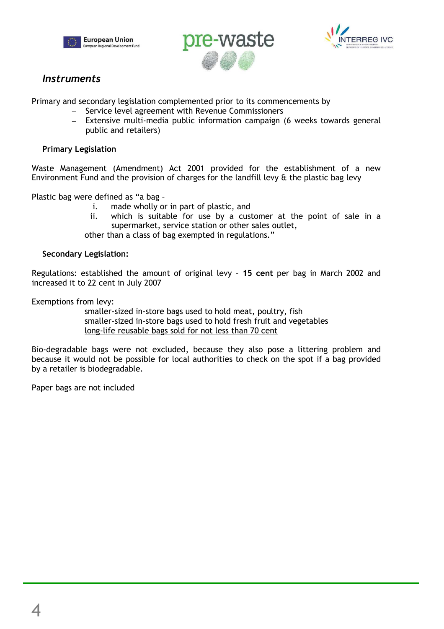





### *Instruments*

Primary and secondary legislation complemented prior to its commencements by

- Service level agreement with Revenue Commissioners
- Extensive multi-media public information campaign (6 weeks towards general public and retailers)

#### **Primary Legislation**

Waste Management (Amendment) Act 2001 provided for the establishment of a new Environment Fund and the provision of charges for the landfill levy & the plastic bag levy

Plastic bag were defined as "a bag –

- i. made wholly or in part of plastic, and
- ii. which is suitable for use by a customer at the point of sale in a supermarket, service station or other sales outlet,

other than a class of bag exempted in regulations."

#### **Secondary Legislation:**

Regulations: established the amount of original levy – **15 cent** per bag in March 2002 and increased it to 22 cent in July 2007

Exemptions from levy:

smaller-sized in-store bags used to hold meat, poultry, fish smaller-sized in-store bags used to hold fresh fruit and vegetables long-life reusable bags sold for not less than 70 cent

Bio-degradable bags were not excluded, because they also pose a littering problem and because it would not be possible for local authorities to check on the spot if a bag provided by a retailer is biodegradable.

Paper bags are not included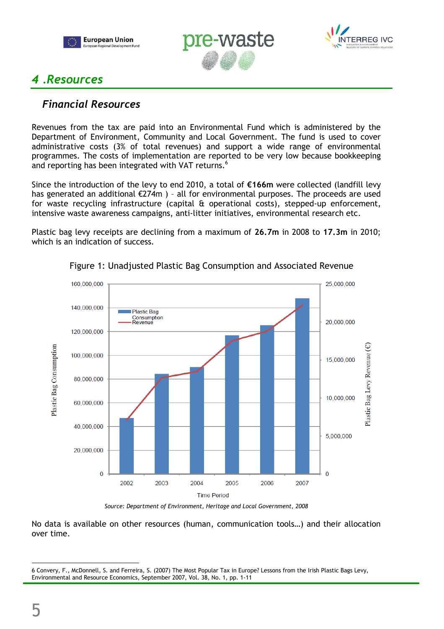





## *4 .Resources*

### *Financial Resources*

Revenues from the tax are paid into an Environmental Fund which is administered by the Department of Environment, Community and Local Government. The fund is used to cover administrative costs (3% of total revenues) and support a wide range of environmental programmes. The costs of implementation are reported to be very low because bookkeeping and reporting has been integrated with VAT returns.<sup>6</sup>

Since the introduction of the levy to end 2010, a total of **€166m** were collected (landfill levy has generated an additional €274m ) – all for environmental purposes. The proceeds are used for waste recycling infrastructure (capital & operational costs), stepped-up enforcement, intensive waste awareness campaigns, anti-litter initiatives, environmental research etc.

Plastic bag levy receipts are declining from a maximum of **26.7m** in 2008 to **17.3m** in 2010; which is an indication of success.



#### Figure 1: Unadjusted Plastic Bag Consumption and Associated Revenue

*Source: Department of Environment, Heritage and Local Government, 2008* 

No data is available on other resources (human, communication tools…) and their allocation over time.

 $\overline{a}$ 6 Convery, F., McDonnell, S. and Ferreira, S. (2007) The Most Popular Tax in Europe? Lessons from the Irish Plastic Bags Levy, Environmental and Resource Economics, September 2007, Vol. 38, No. 1, pp. 1-11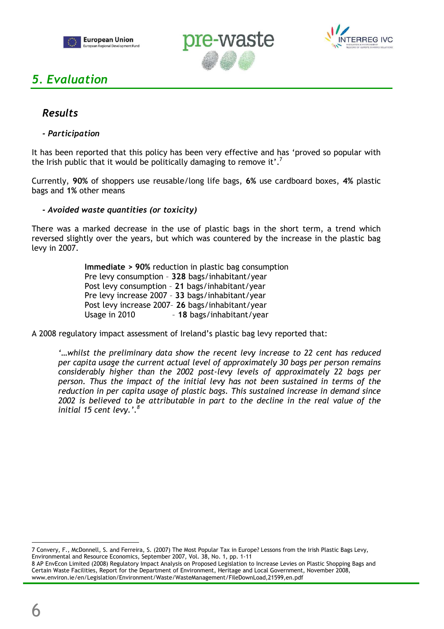





## *5. Evaluation*

### *Results*

#### *- Participation*

It has been reported that this policy has been very effective and has 'proved so popular with the Irish public that it would be politically damaging to remove it'.<sup>7</sup>

Currently, **90%** of shoppers use reusable/long life bags, **6%** use cardboard boxes, **4%** plastic bags and **1%** other means

#### *- Avoided waste quantities (or toxicity)*

There was a marked decrease in the use of plastic bags in the short term, a trend which reversed slightly over the years, but which was countered by the increase in the plastic bag levy in 2007.

> **Immediate > 90%** reduction in plastic bag consumption Pre levy consumption – **328** bags/inhabitant/year Post levy consumption – **21** bags/inhabitant/year Pre levy increase 2007 – **33** bags/inhabitant/year Post levy increase 2007– **26** bags/inhabitant/year Usage in 2010 – **18** bags/inhabitant/year

A 2008 regulatory impact assessment of Ireland's plastic bag levy reported that:

*'…whilst the preliminary data show the recent levy increase to 22 cent has reduced per capita usage the current actual level of approximately 30 bags per person remains considerably higher than the 2002 post-levy levels of approximately 22 bags per person. Thus the impact of the initial levy has not been sustained in terms of the reduction in per capita usage of plastic bags. This sustained increase in demand since 2002 is believed to be attributable in part to the decline in the real value of the initial 15 cent levy.'.<sup>8</sup>*

 $\overline{a}$ 7 Convery, F., McDonnell, S. and Ferreira, S. (2007) The Most Popular Tax in Europe? Lessons from the Irish Plastic Bags Levy, Environmental and Resource Economics, September 2007, Vol. 38, No. 1, pp. 1-11

<sup>8</sup> AP EnvEcon Limited (2008) Regulatory Impact Analysis on Proposed Legislation to Increase Levies on Plastic Shopping Bags and Certain Waste Facilities, Report for the Department of Environment, Heritage and Local Government, November 2008, www.environ.ie/en/Legislation/Environment/Waste/WasteManagement/FileDownLoad,21599,en.pdf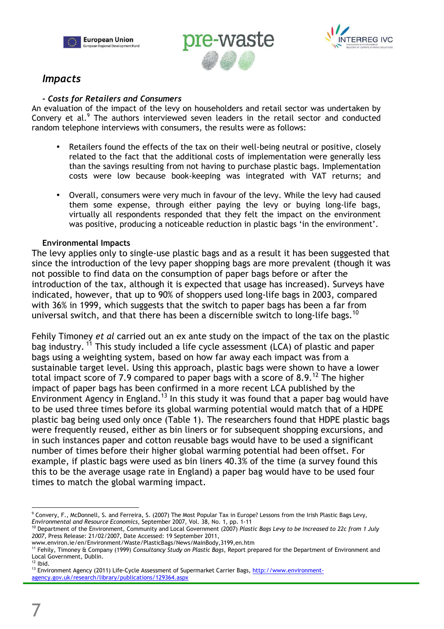





### *Impacts*

#### *- Costs for Retailers and Consumers*

An evaluation of the impact of the levy on householders and retail sector was undertaken by Convery et al.<sup>9</sup> The authors interviewed seven leaders in the retail sector and conducted random telephone interviews with consumers, the results were as follows:

- Retailers found the effects of the tax on their well-being neutral or positive, closely related to the fact that the additional costs of implementation were generally less than the savings resulting from not having to purchase plastic bags. Implementation costs were low because book-keeping was integrated with VAT returns; and
- Overall, consumers were very much in favour of the levy. While the levy had caused them some expense, through either paying the levy or buying long-life bags, virtually all respondents responded that they felt the impact on the environment was positive, producing a noticeable reduction in plastic bags 'in the environment'.

#### **Environmental Impacts**

The levy applies only to single-use plastic bags and as a result it has been suggested that since the introduction of the levy paper shopping bags are more prevalent (though it was not possible to find data on the consumption of paper bags before or after the introduction of the tax, although it is expected that usage has increased). Surveys have indicated, however, that up to 90% of shoppers used long-life bags in 2003, compared with 36% in 1999, which suggests that the switch to paper bags has been a far from universal switch, and that there has been a discernible switch to long-life bags.<sup>10</sup>

Fehily Timoney *et al* carried out an ex ante study on the impact of the tax on the plastic bag industry.<sup>11</sup> This study included a life cycle assessment (LCA) of plastic and paper bags using a weighting system, based on how far away each impact was from a sustainable target level. Using this approach, plastic bags were shown to have a lower total impact score of 7.9 compared to paper bags with a score of 8.9.<sup>12</sup> The higher impact of paper bags has been confirmed in a more recent LCA published by the Environment Agency in England.<sup>13</sup> In this study it was found that a paper bag would have to be used three times before its global warming potential would match that of a HDPE plastic bag being used only once (Table 1). The researchers found that HDPE plastic bags were frequently reused, either as bin liners or for subsequent shopping excursions, and in such instances paper and cotton reusable bags would have to be used a significant number of times before their higher global warming potential had been offset. For example, if plastic bags were used as bin liners 40.3% of the time (a survey found this this to be the average usage rate in England) a paper bag would have to be used four times to match the global warming impact.

 $\overline{a}$ 9 Convery, F., McDonnell, S. and Ferreira, S. (2007) The Most Popular Tax in Europe? Lessons from the Irish Plastic Bags Levy, *Environmental and Resource Economics*, September 2007, Vol. 38, No. 1, pp. 1-11

<sup>10</sup> Department of the Environment, Community and Local Government (2007) *Plastic Bags Levy to be Increased to 22c from 1 July 2007*, Press Release: 21/02/2007, Date Accessed: 19 September 2011,

www.environ.ie/en/Environment/Waste/PlasticBags/News/MainBody,3199,en.htm

<sup>11</sup> Fehily, Timoney & Company (1999) *Consultancy Study on Plastic Bags*, Report prepared for the Department of Environment and Local Government, Dublin.

 $12$  Ibid.

<sup>&</sup>lt;sup>13</sup> Environment Agency (2011) Life-Cycle Assessment of Supermarket Carrier Bags, http://www.environmentagency.gov.uk/research/library/publications/129364.aspx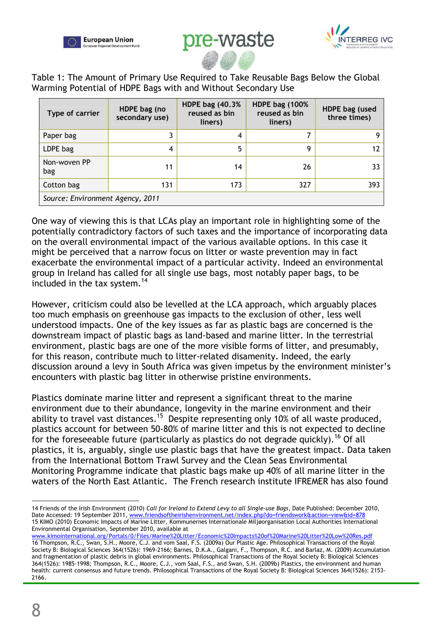





Table 1: The Amount of Primary Use Required to Take Reusable Bags Below the Global Warming Potential of HDPE Bags with and Without Secondary Use

| Type of carrier                  | HDPE bag (no<br>secondary use) | <b>HDPE bag (40.3%)</b><br>reused as bin<br>liners) | <b>HDPE bag (100%)</b><br>reused as bin<br>liners) | HDPE bag (used<br>three times) |  |
|----------------------------------|--------------------------------|-----------------------------------------------------|----------------------------------------------------|--------------------------------|--|
| Paper bag                        |                                | 4                                                   |                                                    |                                |  |
| LDPE bag                         | 4                              | 5                                                   | g                                                  |                                |  |
| Non-woven PP<br>bag              | 11                             | 14                                                  | 26                                                 | 33                             |  |
| Cotton bag                       | 131                            | 173                                                 | 327                                                | 393                            |  |
| Source: Environment Agency, 2011 |                                |                                                     |                                                    |                                |  |

One way of viewing this is that LCAs play an important role in highlighting some of the potentially contradictory factors of such taxes and the importance of incorporating data on the overall environmental impact of the various available options. In this case it might be perceived that a narrow focus on litter or waste prevention may in fact exacerbate the environmental impact of a particular activity. Indeed an environmental group in Ireland has called for all single use bags, most notably paper bags, to be included in the tax system. $14$ 

However, criticism could also be levelled at the LCA approach, which arguably places too much emphasis on greenhouse gas impacts to the exclusion of other, less well understood impacts. One of the key issues as far as plastic bags are concerned is the downstream impact of plastic bags as land-based and marine litter. In the terrestrial environment, plastic bags are one of the more visible forms of litter, and presumably, for this reason, contribute much to litter-related disamenity. Indeed, the early discussion around a levy in South Africa was given impetus by the environment minister's encounters with plastic bag litter in otherwise pristine environments.

Plastics dominate marine litter and represent a significant threat to the marine environment due to their abundance, longevity in the marine environment and their ability to travel vast distances.<sup>15</sup> Despite representing only 10% of all waste produced, plastics account for between 50-80% of marine litter and this is not expected to decline for the foreseeable future (particularly as plastics do not degrade quickly).<sup>16</sup> Of all plastics, it is, arguably, single use plastic bags that have the greatest impact. Data taken from the International Bottom Trawl Survey and the Clean Seas Environmental Monitoring Programme indicate that plastic bags make up 40% of all marine litter in the waters of the North East Atlantic. The French research institute IFREMER has also found

 $\overline{a}$ 14 Friends of the Irish Environment (2010) *Call for Ireland to Extend Levy to all Single-use Bags*, Date Published: December 2010, Date Accessed: 19 September 2011, www.friendsoftheirishenvironment.net/index.php?do=friendswork&action=view&id=878 15 KIMO (2010) Economic Impacts of Marine Litter, Kommunernes Internationale Miljøorganisation Local Authorities International Environmental Organisation, September 2010, available at

www.kimointernational.org/Portals/0/Files/Marine%20Litter/Economic%20Impacts%20of%20Marine%20Litter%20Low%20Res.pdf 16 Thompson, R.C., Swan, S.H., Moore, C.J. and vom Saal, F.S. (2009a) Our Plastic Age. Philosophical Transactions of the Royal Society B: Biological Sciences 364(1526): 1969-2166; Barnes, D.K.A., Galgani, F., Thompson, R.C. and Barlaz, M. (2009) Accumulation and fragmentation of plastic debris in global environments. Philosophical Transactions of the Royal Society B: Biological Sciences 364(1526): 1985-1998; Thompson, R.C., Moore, C.J., vom Saal, F.S., and Swan, S.H. (2009b) Plastics, the environment and human health: current consensus and future trends. Philosophical Transactions of the Royal Society B: Biological Sciences 364(1526): 2153- 2166.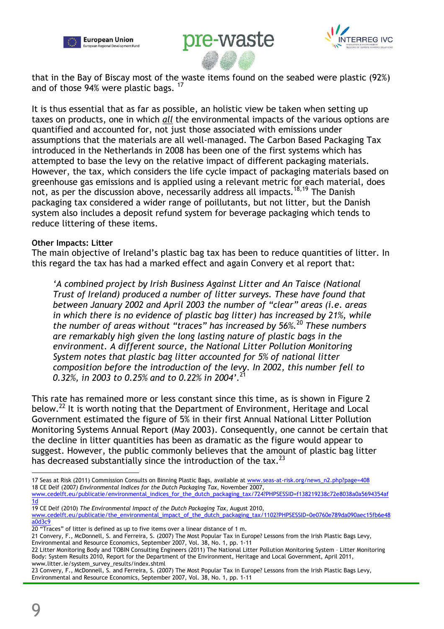





that in the Bay of Biscay most of the waste items found on the seabed were plastic (92%) and of those 94% were plastic bags. <sup>17</sup>

It is thus essential that as far as possible, an holistic view be taken when setting up taxes on products, one in which *all* the environmental impacts of the various options are quantified and accounted for, not just those associated with emissions under assumptions that the materials are all well-managed. The Carbon Based Packaging Tax introduced in the Netherlands in 2008 has been one of the first systems which has attempted to base the levy on the relative impact of different packaging materials. However, the tax, which considers the life cycle impact of packaging materials based on greenhouse gas emissions and is applied using a relevant metric for each material, does not, as per the discussion above, necessarily address all impacts.<sup>18,19</sup> The Danish packaging tax considered a wider range of poillutants, but not litter, but the Danish system also includes a deposit refund system for beverage packaging which tends to reduce littering of these items.

#### **Other Impacts: Litter**

The main objective of Ireland's plastic bag tax has been to reduce quantities of litter. In this regard the tax has had a marked effect and again Convery et al report that:

*'A combined project by Irish Business Against Litter and An Taisce (National Trust of Ireland) produced a number of litter surveys. These have found that between January 2002 and April 2003 the number of "clear" areas (i.e. areas in which there is no evidence of plastic bag litter) has increased by 21%, while the number of areas without "traces" has increased by 56%.*<sup>20</sup> *These numbers are remarkably high given the long lasting nature of plastic bags in the environment. A different source, the National Litter Pollution Monitoring System notes that plastic bag litter accounted for 5% of national litter composition before the introduction of the levy. In 2002, this number fell to 0.32%, in 2003 to 0.25% and to 0.22% in 2004'.*<sup>21</sup>

This rate has remained more or less constant since this time, as is shown in Figure 2 below.<sup>22</sup> It is worth noting that the Department of Environment, Heritage and Local Government estimated the figure of 5% in their first Annual National Litter Pollution Monitoring Systems Annual Report (May 2003). Consequently, one cannot be certain that the decline in litter quantities has been as dramatic as the figure would appear to suggest. However, the public commonly believes that the amount of plastic bag litter has decreased substantially since the introduction of the tax. $^{23}$ 

21 Convery, F., McDonnell, S. and Ferreira, S. (2007) The Most Popular Tax in Europe? Lessons from the Irish Plastic Bags Levy, Environmental and Resource Economics, September 2007, Vol. 38, No. 1, pp. 1-11

 $\overline{a}$ 17 Seas at Risk (2011) Commission Consults on Binning Plastic Bags, available at www.seas-at-risk.org/news\_n2.php?page=408 18 CE Delf (2007*) Environmental Indices for the Dutch Packaging Tax*, November 2007,

www.cedelft.eu/publicatie/environmental\_indices\_for\_the\_dutch\_packaging\_tax/724?PHPSESSID=f138219238c72e8038a0a5694354af 1d

<sup>19</sup> CE Delf (2010) *The Environmental Impact of the Dutch Packaging Tax*, August 2010, www.cedelft.eu/publicatie/the\_environmental\_impact\_of\_the\_dutch\_packaging\_tax/1102?PHPSESSID=0e0760e789da090aec15fb6e48 a0d3c9

<sup>20 &</sup>quot;Traces" of litter is defined as up to five items over a linear distance of 1 m.

<sup>22</sup> Litter Monitoring Body and TOBIN Consulting Engineers (2011) The National Litter Pollution Monitoring System – Litter Monitoring Body: System Results 2010, Report for the Department of the Environment, Heritage and Local Government, April 2011, www.litter.ie/system\_survey\_results/index.shtml

<sup>23</sup> Convery, F., McDonnell, S. and Ferreira, S. (2007) The Most Popular Tax in Europe? Lessons from the Irish Plastic Bags Levy, Environmental and Resource Economics, September 2007, Vol. 38, No. 1, pp. 1-11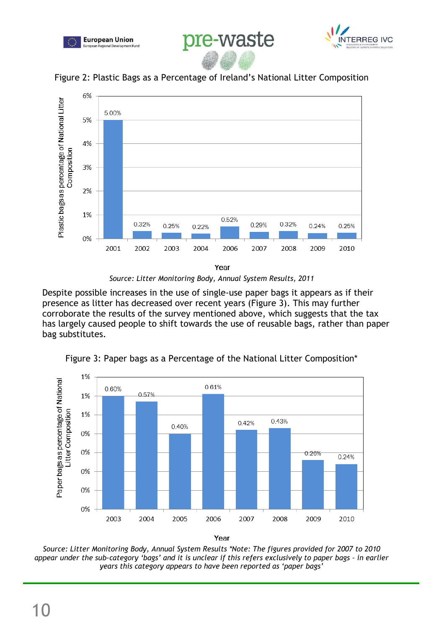





Figure 2: Plastic Bags as a Percentage of Ireland's National Litter Composition



*Source: Litter Monitoring Body, Annual System Results, 2011* 

Despite possible increases in the use of single-use paper bags it appears as if their presence as litter has decreased over recent years (Figure 3). This may further corroborate the results of the survey mentioned above, which suggests that the tax has largely caused people to shift towards the use of reusable bags, rather than paper bag substitutes.



Figure 3: Paper bags as a Percentage of the National Litter Composition\*

Year

*Source: Litter Monitoring Body, Annual System Results \*Note: The figures provided for 2007 to 2010 appear under the sub-category 'bags' and it is unclear if this refers exclusively to paper bags – in earlier years this category appears to have been reported as 'paper bags'*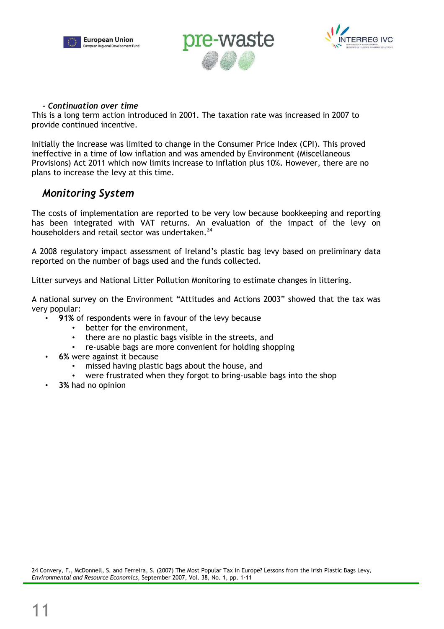





#### *- Continuation over time*

This is a long term action introduced in 2001. The taxation rate was increased in 2007 to provide continued incentive.

Initially the increase was limited to change in the Consumer Price Index (CPI). This proved ineffective in a time of low inflation and was amended by Environment (Miscellaneous Provisions) Act 2011 which now limits increase to inflation plus 10%. However, there are no plans to increase the levy at this time.

### *Monitoring System*

The costs of implementation are reported to be very low because bookkeeping and reporting has been integrated with VAT returns. An evaluation of the impact of the levy on householders and retail sector was undertaken. $^{24}$ 

A 2008 regulatory impact assessment of Ireland's plastic bag levy based on preliminary data reported on the number of bags used and the funds collected.

Litter surveys and National Litter Pollution Monitoring to estimate changes in littering.

A national survey on the Environment "Attitudes and Actions 2003" showed that the tax was very popular:

- **91%** of respondents were in favour of the levy because
	- better for the environment,
	- there are no plastic bags visible in the streets, and
	- re-usable bags are more convenient for holding shopping
- **6%** were against it because
	- missed having plastic bags about the house, and
	- were frustrated when they forgot to bring-usable bags into the shop
- **3%** had no opinion

 $\overline{a}$ 

<sup>24</sup> Convery, F., McDonnell, S. and Ferreira, S. (2007) The Most Popular Tax in Europe? Lessons from the Irish Plastic Bags Levy, *Environmental and Resource Economics*, September 2007, Vol. 38, No. 1, pp. 1-11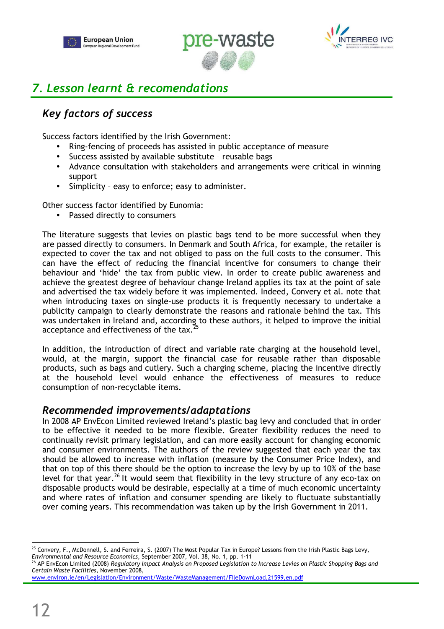





# *7. Lesson learnt & recomendations*

## *Key factors of success*

Success factors identified by the Irish Government:

- Ring-fencing of proceeds has assisted in public acceptance of measure
- Success assisted by available substitute reusable bags
- Advance consultation with stakeholders and arrangements were critical in winning support
- Simplicity easy to enforce; easy to administer.

Other success factor identified by Eunomia:

Passed directly to consumers

The literature suggests that levies on plastic bags tend to be more successful when they are passed directly to consumers. In Denmark and South Africa, for example, the retailer is expected to cover the tax and not obliged to pass on the full costs to the consumer. This can have the effect of reducing the financial incentive for consumers to change their behaviour and 'hide' the tax from public view. In order to create public awareness and achieve the greatest degree of behaviour change Ireland applies its tax at the point of sale and advertised the tax widely before it was implemented. Indeed, Convery et al. note that when introducing taxes on single-use products it is frequently necessary to undertake a publicity campaign to clearly demonstrate the reasons and rationale behind the tax. This was undertaken in Ireland and, according to these authors, it helped to improve the initial acceptance and effectiveness of the tax.<sup>25</sup>

In addition, the introduction of direct and variable rate charging at the household level, would, at the margin, support the financial case for reusable rather than disposable products, such as bags and cutlery. Such a charging scheme, placing the incentive directly at the household level would enhance the effectiveness of measures to reduce consumption of non-recyclable items.

### *Recommended improvements/adaptations*

In 2008 AP EnvEcon Limited reviewed Ireland's plastic bag levy and concluded that in order to be effective it needed to be more flexible. Greater flexibility reduces the need to continually revisit primary legislation, and can more easily account for changing economic and consumer environments. The authors of the review suggested that each year the tax should be allowed to increase with inflation (measure by the Consumer Price Index), and that on top of this there should be the option to increase the levy by up to 10% of the base level for that year.<sup>26</sup> It would seem that flexibility in the levy structure of any eco-tax on disposable products would be desirable, especially at a time of much economic uncertainty and where rates of inflation and consumer spending are likely to fluctuate substantially over coming years. This recommendation was taken up by the Irish Government in 2011.

www.environ.ie/en/Legislation/Environment/Waste/WasteManagement/FileDownLoad,21599,en.pdf

 $\overline{a}$  $25$  Convery, F., McDonnell, S. and Ferreira, S. (2007) The Most Popular Tax in Europe? Lessons from the Irish Plastic Bags Levy, *Environmental and Resource Economics*, September 2007, Vol. 38, No. 1, pp. 1-11

<sup>26</sup> AP EnvEcon Limited (2008) *Regulatory Impact Analysis on Proposed Legislation to Increase Levies on Plastic Shopping Bags and Certain Waste Facilities*, November 2008,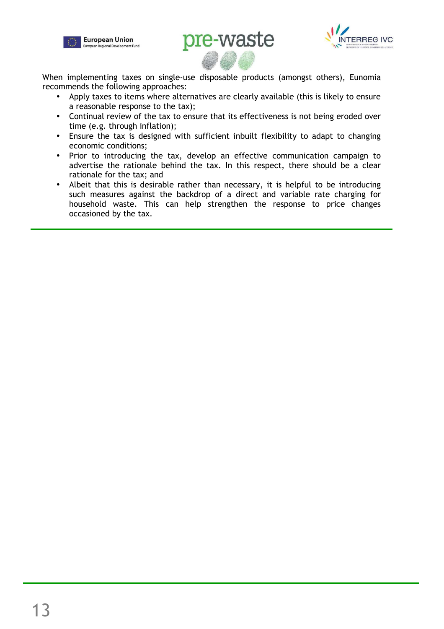





When implementing taxes on single-use disposable products (amongst others), Eunomia recommends the following approaches:

- Apply taxes to items where alternatives are clearly available (this is likely to ensure a reasonable response to the tax);
- Continual review of the tax to ensure that its effectiveness is not being eroded over time (e.g. through inflation);
- Ensure the tax is designed with sufficient inbuilt flexibility to adapt to changing economic conditions;
- Prior to introducing the tax, develop an effective communication campaign to advertise the rationale behind the tax. In this respect, there should be a clear rationale for the tax; and
- Albeit that this is desirable rather than necessary, it is helpful to be introducing such measures against the backdrop of a direct and variable rate charging for household waste. This can help strengthen the response to price changes occasioned by the tax.